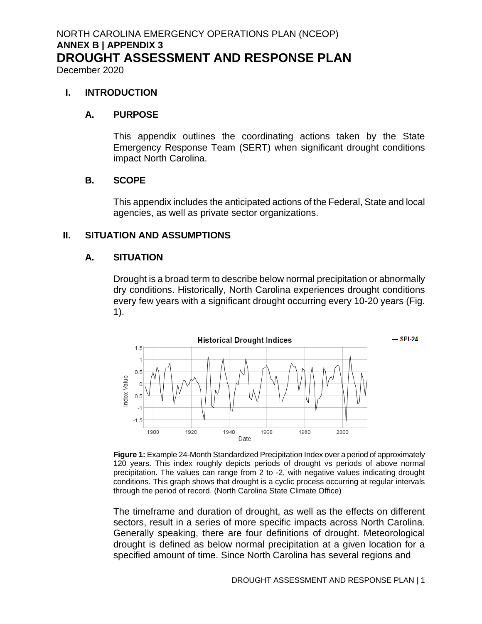December 2020

#### **I. INTRODUCTION**

#### **A. PURPOSE**

This appendix outlines the coordinating actions taken by the State Emergency Response Team (SERT) when significant drought conditions impact North Carolina.

#### **B. SCOPE**

This appendix includes the anticipated actions of the Federal, State and local agencies, as well as private sector organizations.

#### **II. SITUATION AND ASSUMPTIONS**

#### **A. SITUATION**

Drought is a broad term to describe below normal precipitation or abnormally dry conditions. Historically, North Carolina experiences drought conditions every few years with a significant drought occurring every 10-20 years (Fig. 1).



Figure 1: Example 24-Month Standardized Precipitation Index over a period of approximately 120 years. This index roughly depicts periods of drought vs periods of above normal precipitation. The values can range from 2 to -2, with negative values indicating drought conditions. This graph shows that drought is a cyclic process occurring at regular intervals through the period of record. (North Carolina State Climate Office)

The timeframe and duration of drought, as well as the effects on different sectors, result in a series of more specific impacts across North Carolina. Generally speaking, there are four definitions of drought. Meteorological drought is defined as below normal precipitation at a given location for a specified amount of time. Since North Carolina has several regions and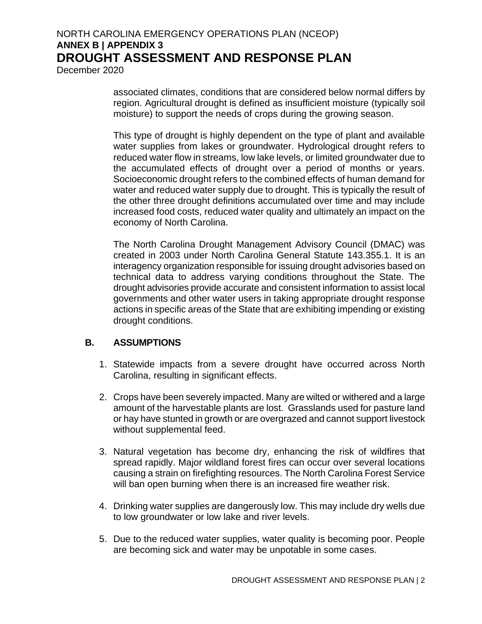December 2020

associated climates, conditions that are considered below normal differs by region. Agricultural drought is defined as insufficient moisture (typically soil moisture) to support the needs of crops during the growing season.

This type of drought is highly dependent on the type of plant and available water supplies from lakes or groundwater. Hydrological drought refers to reduced water flow in streams, low lake levels, or limited groundwater due to the accumulated effects of drought over a period of months or years. Socioeconomic drought refers to the combined effects of human demand for water and reduced water supply due to drought. This is typically the result of the other three drought definitions accumulated over time and may include increased food costs, reduced water quality and ultimately an impact on the economy of North Carolina.

The North Carolina Drought Management Advisory Council (DMAC) was created in 2003 under North Carolina General Statute 143.355.1. It is an interagency organization responsible for issuing drought advisories based on technical data to address varying conditions throughout the State. The drought advisories provide accurate and consistent information to assist local governments and other water users in taking appropriate drought response actions in specific areas of the State that are exhibiting impending or existing drought conditions.

### **B. ASSUMPTIONS**

- 1. Statewide impacts from a severe drought have occurred across North Carolina, resulting in significant effects.
- 2. Crops have been severely impacted. Many are wilted or withered and a large amount of the harvestable plants are lost. Grasslands used for pasture land or hay have stunted in growth or are overgrazed and cannot support livestock without supplemental feed.
- 3. Natural vegetation has become dry, enhancing the risk of wildfires that spread rapidly. Major wildland forest fires can occur over several locations causing a strain on firefighting resources. The North Carolina Forest Service will ban open burning when there is an increased fire weather risk.
- 4. Drinking water supplies are dangerously low. This may include dry wells due to low groundwater or low lake and river levels.
- 5. Due to the reduced water supplies, water quality is becoming poor. People are becoming sick and water may be unpotable in some cases.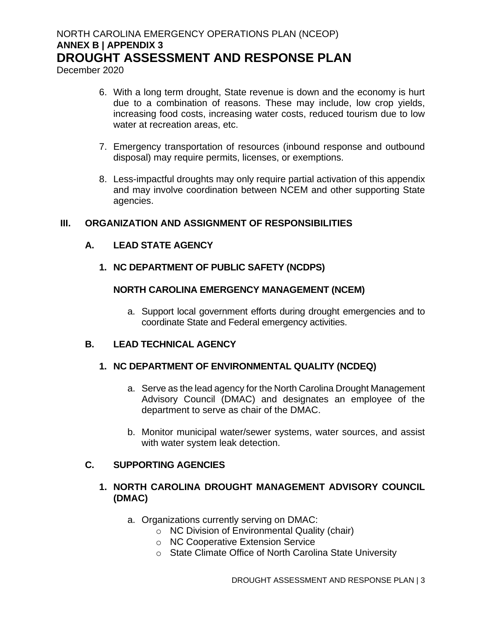December 2020

- 6. With a long term drought, State revenue is down and the economy is hurt due to a combination of reasons. These may include, low crop yields, increasing food costs, increasing water costs, reduced tourism due to low water at recreation areas, etc.
- 7. Emergency transportation of resources (inbound response and outbound disposal) may require permits, licenses, or exemptions.
- 8. Less-impactful droughts may only require partial activation of this appendix and may involve coordination between NCEM and other supporting State agencies.

### **III. ORGANIZATION AND ASSIGNMENT OF RESPONSIBILITIES**

### **A. LEAD STATE AGENCY**

**1. NC DEPARTMENT OF PUBLIC SAFETY (NCDPS)**

### **NORTH CAROLINA EMERGENCY MANAGEMENT (NCEM)**

a. Support local government efforts during drought emergencies and to coordinate State and Federal emergency activities.

### **B. LEAD TECHNICAL AGENCY**

### **1. NC DEPARTMENT OF ENVIRONMENTAL QUALITY (NCDEQ)**

- a. Serve as the lead agency for the North Carolina Drought Management Advisory Council (DMAC) and designates an employee of the department to serve as chair of the DMAC.
- b. Monitor municipal water/sewer systems, water sources, and assist with water system leak detection.

### **C. SUPPORTING AGENCIES**

### **1. NORTH CAROLINA DROUGHT MANAGEMENT ADVISORY COUNCIL (DMAC)**

- a. Organizations currently serving on DMAC:
	- o NC Division of Environmental Quality (chair)
	- o NC Cooperative Extension Service
	- o State Climate Office of North Carolina State University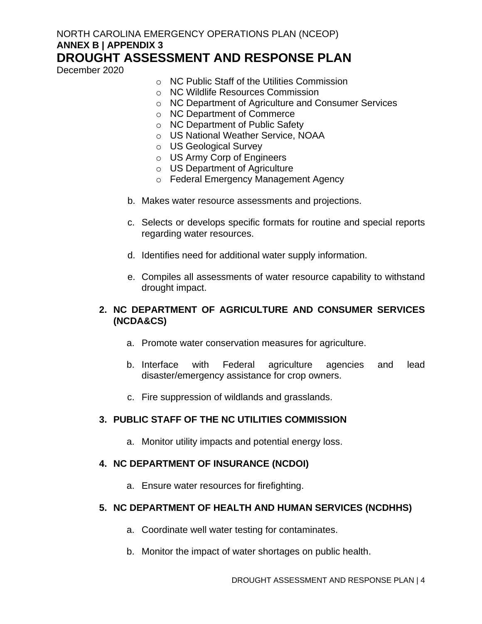December 2020

- $\circ$  NC Public Staff of the Utilities Commission
- o NC Wildlife Resources Commission
- o NC Department of Agriculture and Consumer Services
- o NC Department of Commerce
- o NC Department of Public Safety
- o US National Weather Service, NOAA
- o US Geological Survey
- o US Army Corp of Engineers
- o US Department of Agriculture
- o Federal Emergency Management Agency
- b. Makes water resource assessments and projections.
- c. Selects or develops specific formats for routine and special reports regarding water resources.
- d. Identifies need for additional water supply information.
- e. Compiles all assessments of water resource capability to withstand drought impact.

### **2. NC DEPARTMENT OF AGRICULTURE AND CONSUMER SERVICES (NCDA&CS)**

- a. Promote water conservation measures for agriculture.
- b. Interface with Federal agriculture agencies and lead disaster/emergency assistance for crop owners.
- c. Fire suppression of wildlands and grasslands.

### **3. PUBLIC STAFF OF THE NC UTILITIES COMMISSION**

a. Monitor utility impacts and potential energy loss.

### **4. NC DEPARTMENT OF INSURANCE (NCDOI)**

a. Ensure water resources for firefighting.

### **5. NC DEPARTMENT OF HEALTH AND HUMAN SERVICES (NCDHHS)**

- a. Coordinate well water testing for contaminates.
- b. Monitor the impact of water shortages on public health.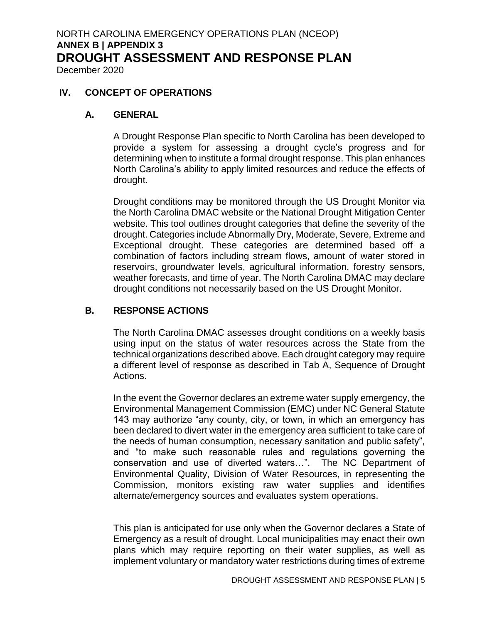December 2020

#### **IV. CONCEPT OF OPERATIONS**

#### **A. GENERAL**

A Drought Response Plan specific to North Carolina has been developed to provide a system for assessing a drought cycle's progress and for determining when to institute a formal drought response. This plan enhances North Carolina's ability to apply limited resources and reduce the effects of drought.

Drought conditions may be monitored through the US Drought Monitor via the North Carolina DMAC website or the National Drought Mitigation Center website. This tool outlines drought categories that define the severity of the drought. Categories include Abnormally Dry, Moderate, Severe, Extreme and Exceptional drought. These categories are determined based off a combination of factors including stream flows, amount of water stored in reservoirs, groundwater levels, agricultural information, forestry sensors, weather forecasts, and time of year. The North Carolina DMAC may declare drought conditions not necessarily based on the US Drought Monitor.

#### **B. RESPONSE ACTIONS**

The North Carolina DMAC assesses drought conditions on a weekly basis using input on the status of water resources across the State from the technical organizations described above. Each drought category may require a different level of response as described in Tab A, Sequence of Drought Actions.

In the event the Governor declares an extreme water supply emergency, the Environmental Management Commission (EMC) under NC General Statute 143 may authorize "any county, city, or town, in which an emergency has been declared to divert water in the emergency area sufficient to take care of the needs of human consumption, necessary sanitation and public safety", and "to make such reasonable rules and regulations governing the conservation and use of diverted waters…". The NC Department of Environmental Quality, Division of Water Resources, in representing the Commission, monitors existing raw water supplies and identifies alternate/emergency sources and evaluates system operations.

This plan is anticipated for use only when the Governor declares a State of Emergency as a result of drought. Local municipalities may enact their own plans which may require reporting on their water supplies, as well as implement voluntary or mandatory water restrictions during times of extreme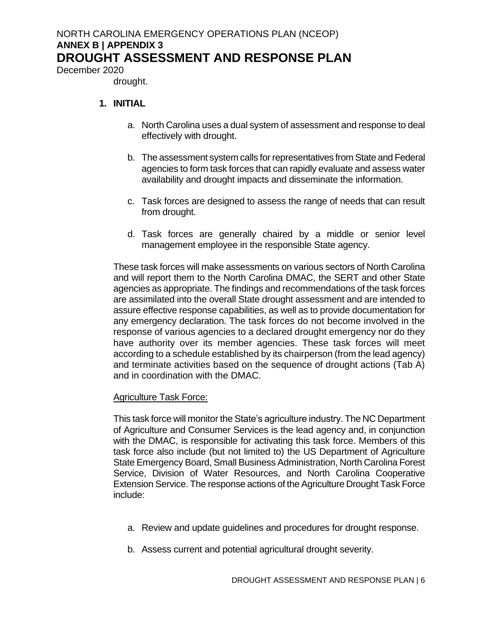December 2020

drought.

### **1. INITIAL**

- a. North Carolina uses a dual system of assessment and response to deal effectively with drought.
- b. The assessment system calls for representatives from State and Federal agencies to form task forces that can rapidly evaluate and assess water availability and drought impacts and disseminate the information.
- c. Task forces are designed to assess the range of needs that can result from drought.
- d. Task forces are generally chaired by a middle or senior level management employee in the responsible State agency.

These task forces will make assessments on various sectors of North Carolina and will report them to the North Carolina DMAC, the SERT and other State agencies as appropriate. The findings and recommendations of the task forces are assimilated into the overall State drought assessment and are intended to assure effective response capabilities, as well as to provide documentation for any emergency declaration. The task forces do not become involved in the response of various agencies to a declared drought emergency nor do they have authority over its member agencies. These task forces will meet according to a schedule established by its chairperson (from the lead agency) and terminate activities based on the sequence of drought actions (Tab A) and in coordination with the DMAC.

### Agriculture Task Force:

This task force will monitor the State's agriculture industry. The NC Department of Agriculture and Consumer Services is the lead agency and, in conjunction with the DMAC, is responsible for activating this task force. Members of this task force also include (but not limited to) the US Department of Agriculture State Emergency Board, Small Business Administration, North Carolina Forest Service, Division of Water Resources, and North Carolina Cooperative Extension Service. The response actions of the Agriculture Drought Task Force include:

- a. Review and update guidelines and procedures for drought response.
- b. Assess current and potential agricultural drought severity.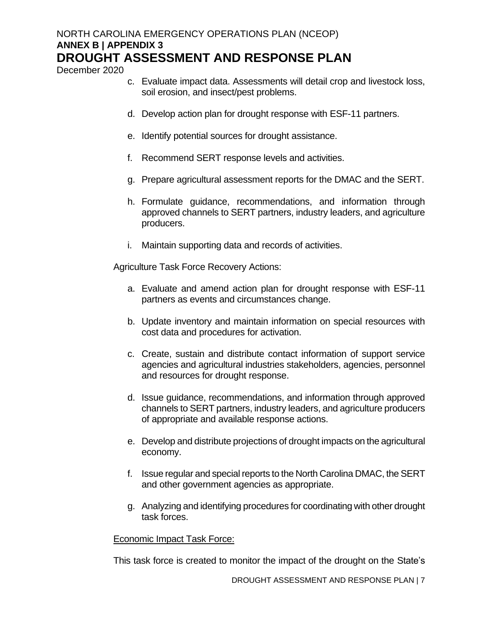December 2020

- c. Evaluate impact data. Assessments will detail crop and livestock loss, soil erosion, and insect/pest problems.
- d. Develop action plan for drought response with ESF-11 partners.
- e. Identify potential sources for drought assistance.
- f. Recommend SERT response levels and activities.
- g. Prepare agricultural assessment reports for the DMAC and the SERT.
- h. Formulate guidance, recommendations, and information through approved channels to SERT partners, industry leaders, and agriculture producers.
- i. Maintain supporting data and records of activities.

Agriculture Task Force Recovery Actions:

- a. Evaluate and amend action plan for drought response with ESF-11 partners as events and circumstances change.
- b. Update inventory and maintain information on special resources with cost data and procedures for activation.
- c. Create, sustain and distribute contact information of support service agencies and agricultural industries stakeholders, agencies, personnel and resources for drought response.
- d. Issue guidance, recommendations, and information through approved channels to SERT partners, industry leaders, and agriculture producers of appropriate and available response actions.
- e. Develop and distribute projections of drought impacts on the agricultural economy.
- f. Issue regular and special reports to the North Carolina DMAC, the SERT and other government agencies as appropriate.
- g. Analyzing and identifying procedures for coordinating with other drought task forces.

### Economic Impact Task Force:

This task force is created to monitor the impact of the drought on the State's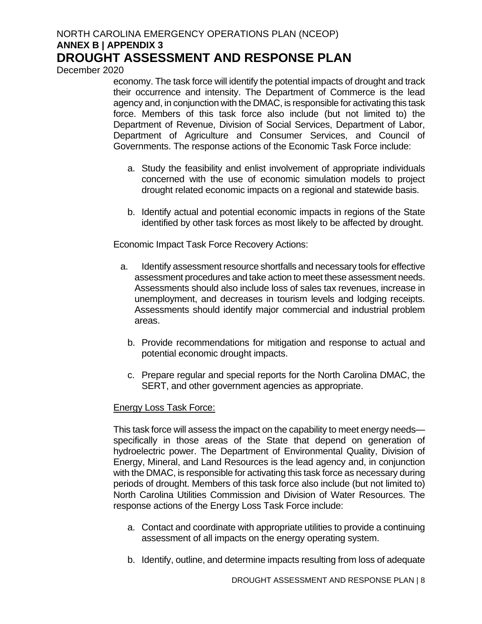December 2020

economy. The task force will identify the potential impacts of drought and track their occurrence and intensity. The Department of Commerce is the lead agency and, in conjunction with the DMAC, is responsible for activating this task force. Members of this task force also include (but not limited to) the Department of Revenue, Division of Social Services, Department of Labor, Department of Agriculture and Consumer Services, and Council of Governments. The response actions of the Economic Task Force include:

- a. Study the feasibility and enlist involvement of appropriate individuals concerned with the use of economic simulation models to project drought related economic impacts on a regional and statewide basis.
- b. Identify actual and potential economic impacts in regions of the State identified by other task forces as most likely to be affected by drought.

Economic Impact Task Force Recovery Actions:

- a. Identify assessment resource shortfalls and necessary tools for effective assessment procedures and take action to meet these assessment needs. Assessments should also include loss of sales tax revenues, increase in unemployment, and decreases in tourism levels and lodging receipts. Assessments should identify major commercial and industrial problem areas.
	- b. Provide recommendations for mitigation and response to actual and potential economic drought impacts.
	- c. Prepare regular and special reports for the North Carolina DMAC, the SERT, and other government agencies as appropriate.

### Energy Loss Task Force:

This task force will assess the impact on the capability to meet energy needs specifically in those areas of the State that depend on generation of hydroelectric power. The Department of Environmental Quality, Division of Energy, Mineral, and Land Resources is the lead agency and, in conjunction with the DMAC, is responsible for activating this task force as necessary during periods of drought. Members of this task force also include (but not limited to) North Carolina Utilities Commission and Division of Water Resources. The response actions of the Energy Loss Task Force include:

- a. Contact and coordinate with appropriate utilities to provide a continuing assessment of all impacts on the energy operating system.
- b. Identify, outline, and determine impacts resulting from loss of adequate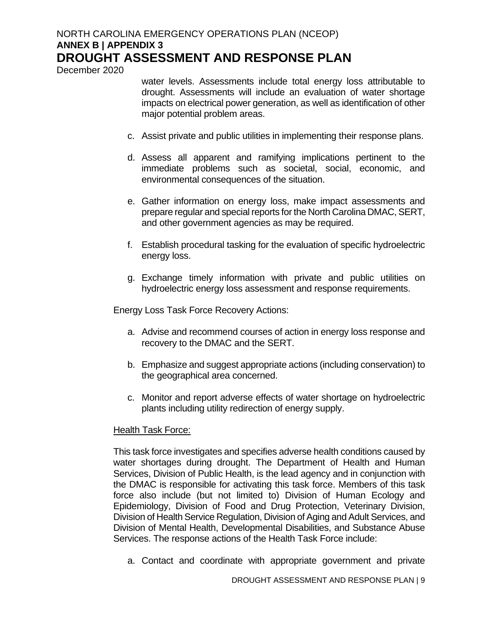December 2020

water levels. Assessments include total energy loss attributable to drought. Assessments will include an evaluation of water shortage impacts on electrical power generation, as well as identification of other major potential problem areas.

- c. Assist private and public utilities in implementing their response plans.
- d. Assess all apparent and ramifying implications pertinent to the immediate problems such as societal, social, economic, and environmental consequences of the situation.
- e. Gather information on energy loss, make impact assessments and prepare regular and special reports for the North Carolina DMAC, SERT, and other government agencies as may be required.
- f. Establish procedural tasking for the evaluation of specific hydroelectric energy loss.
- g. Exchange timely information with private and public utilities on hydroelectric energy loss assessment and response requirements.

Energy Loss Task Force Recovery Actions:

- a. Advise and recommend courses of action in energy loss response and recovery to the DMAC and the SERT.
- b. Emphasize and suggest appropriate actions (including conservation) to the geographical area concerned.
- c. Monitor and report adverse effects of water shortage on hydroelectric plants including utility redirection of energy supply.

### Health Task Force:

This task force investigates and specifies adverse health conditions caused by water shortages during drought. The Department of Health and Human Services, Division of Public Health, is the lead agency and in conjunction with the DMAC is responsible for activating this task force. Members of this task force also include (but not limited to) Division of Human Ecology and Epidemiology, Division of Food and Drug Protection, Veterinary Division, Division of Health Service Regulation, Division of Aging and Adult Services, and Division of Mental Health, Developmental Disabilities, and Substance Abuse Services. The response actions of the Health Task Force include:

a. Contact and coordinate with appropriate government and private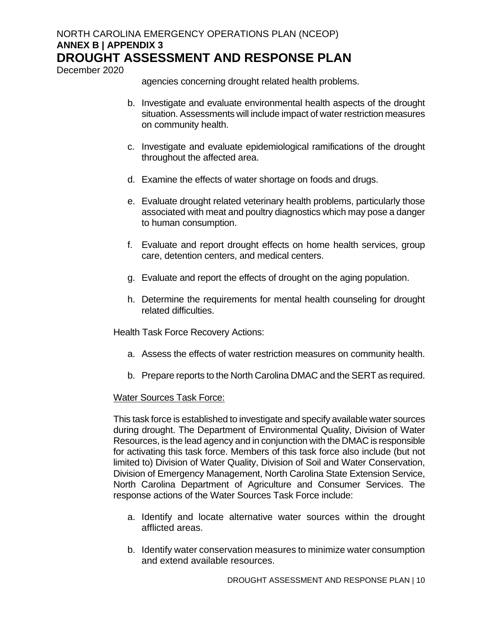December 2020

agencies concerning drought related health problems.

- b. Investigate and evaluate environmental health aspects of the drought situation. Assessments will include impact of water restriction measures on community health.
- c. Investigate and evaluate epidemiological ramifications of the drought throughout the affected area.
- d. Examine the effects of water shortage on foods and drugs.
- e. Evaluate drought related veterinary health problems, particularly those associated with meat and poultry diagnostics which may pose a danger to human consumption.
- f. Evaluate and report drought effects on home health services, group care, detention centers, and medical centers.
- g. Evaluate and report the effects of drought on the aging population.
- h. Determine the requirements for mental health counseling for drought related difficulties.

Health Task Force Recovery Actions:

- a. Assess the effects of water restriction measures on community health.
- b. Prepare reports to the North Carolina DMAC and the SERT as required.

#### Water Sources Task Force:

This task force is established to investigate and specify available water sources during drought. The Department of Environmental Quality, Division of Water Resources, is the lead agency and in conjunction with the DMAC is responsible for activating this task force. Members of this task force also include (but not limited to) Division of Water Quality, Division of Soil and Water Conservation, Division of Emergency Management, North Carolina State Extension Service, North Carolina Department of Agriculture and Consumer Services. The response actions of the Water Sources Task Force include:

- a. Identify and locate alternative water sources within the drought afflicted areas.
- b. Identify water conservation measures to minimize water consumption and extend available resources.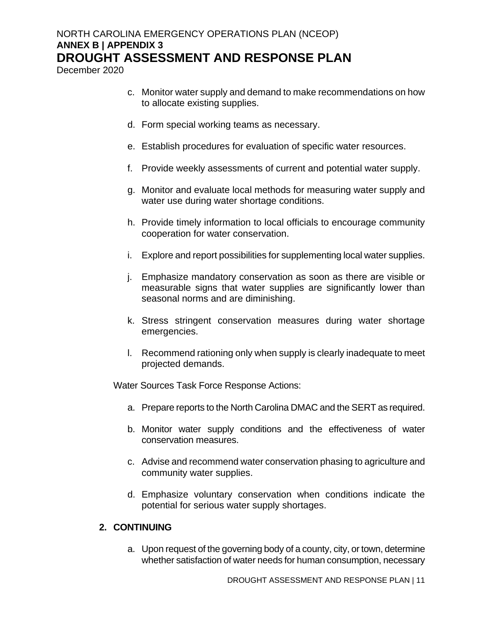December 2020

- c. Monitor water supply and demand to make recommendations on how to allocate existing supplies.
- d. Form special working teams as necessary.
- e. Establish procedures for evaluation of specific water resources.
- f. Provide weekly assessments of current and potential water supply.
- g. Monitor and evaluate local methods for measuring water supply and water use during water shortage conditions.
- h. Provide timely information to local officials to encourage community cooperation for water conservation.
- i. Explore and report possibilities for supplementing local water supplies.
- j. Emphasize mandatory conservation as soon as there are visible or measurable signs that water supplies are significantly lower than seasonal norms and are diminishing.
- k. Stress stringent conservation measures during water shortage emergencies.
- l. Recommend rationing only when supply is clearly inadequate to meet projected demands.

Water Sources Task Force Response Actions:

- a. Prepare reports to the North Carolina DMAC and the SERT as required.
- b. Monitor water supply conditions and the effectiveness of water conservation measures.
- c. Advise and recommend water conservation phasing to agriculture and community water supplies.
- d. Emphasize voluntary conservation when conditions indicate the potential for serious water supply shortages.

#### **2. CONTINUING**

a. Upon request of the governing body of a county, city, or town, determine whether satisfaction of water needs for human consumption, necessary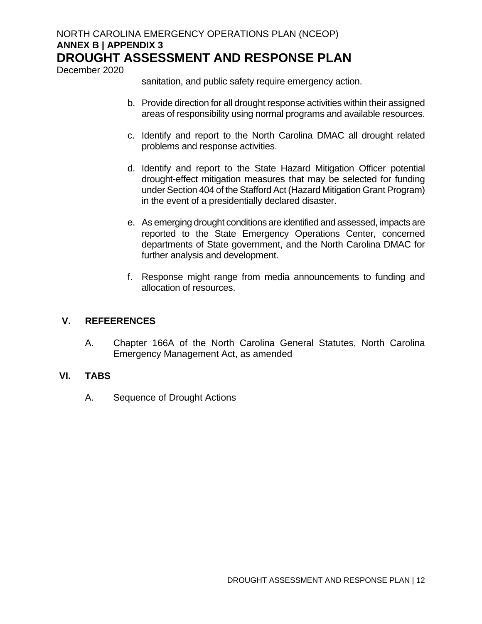December 2020

sanitation, and public safety require emergency action.

- b. Provide direction for all drought response activities within their assigned areas of responsibility using normal programs and available resources.
- c. Identify and report to the North Carolina DMAC all drought related problems and response activities.
- d. Identify and report to the State Hazard Mitigation Officer potential drought-effect mitigation measures that may be selected for funding under Section 404 of the Stafford Act (Hazard Mitigation Grant Program) in the event of a presidentially declared disaster.
- e. As emerging drought conditions are identified and assessed, impacts are reported to the State Emergency Operations Center, concerned departments of State government, and the North Carolina DMAC for further analysis and development.
- f. Response might range from media announcements to funding and allocation of resources.

### **V. REFEERENCES**

A. Chapter 166A of the North Carolina General Statutes, North Carolina Emergency Management Act, as amended

### **VI. TABS**

A. Sequence of Drought Actions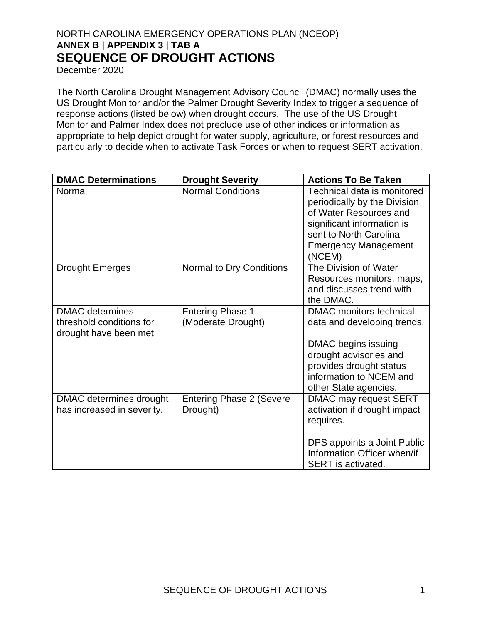December 2020

The North Carolina Drought Management Advisory Council (DMAC) normally uses the US Drought Monitor and/or the Palmer Drought Severity Index to trigger a sequence of response actions (listed below) when drought occurs. The use of the US Drought Monitor and Palmer Index does not preclude use of other indices or information as appropriate to help depict drought for water supply, agriculture, or forest resources and particularly to decide when to activate Task Forces or when to request SERT activation.

| <b>DMAC Determinations</b>                                                  | <b>Drought Severity</b>                       | <b>Actions To Be Taken</b>                                                                                                                                                             |
|-----------------------------------------------------------------------------|-----------------------------------------------|----------------------------------------------------------------------------------------------------------------------------------------------------------------------------------------|
| Normal                                                                      | <b>Normal Conditions</b>                      | Technical data is monitored<br>periodically by the Division<br>of Water Resources and<br>significant information is<br>sent to North Carolina<br><b>Emergency Management</b><br>(NCEM) |
| <b>Drought Emerges</b>                                                      | Normal to Dry Conditions                      | The Division of Water<br>Resources monitors, maps,<br>and discusses trend with<br>the DMAC.                                                                                            |
| <b>DMAC</b> determines<br>threshold conditions for<br>drought have been met | <b>Entering Phase 1</b><br>(Moderate Drought) | DMAC monitors technical<br>data and developing trends.<br>DMAC begins issuing<br>drought advisories and<br>provides drought status<br>information to NCEM and<br>other State agencies. |
| DMAC determines drought<br>has increased in severity.                       | <b>Entering Phase 2 (Severe</b><br>Drought)   | DMAC may request SERT<br>activation if drought impact<br>requires.<br>DPS appoints a Joint Public<br>Information Officer when/if<br><b>SERT</b> is activated.                          |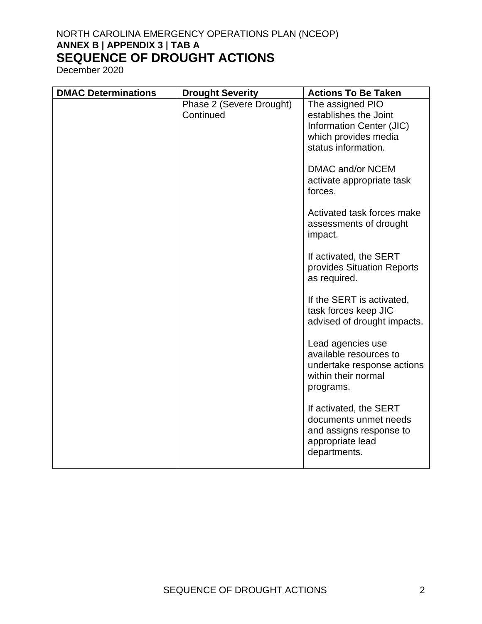| <b>DMAC Determinations</b> | <b>Drought Severity</b>               | <b>Actions To Be Taken</b>                                                                                     |
|----------------------------|---------------------------------------|----------------------------------------------------------------------------------------------------------------|
|                            | Phase 2 (Severe Drought)<br>Continued | The assigned PIO<br>establishes the Joint<br>Information Center (JIC)<br>which provides media                  |
|                            |                                       | status information.                                                                                            |
|                            |                                       | DMAC and/or NCEM<br>activate appropriate task<br>forces.                                                       |
|                            |                                       | Activated task forces make<br>assessments of drought<br>impact.                                                |
|                            |                                       | If activated, the SERT<br>provides Situation Reports<br>as required.                                           |
|                            |                                       | If the SERT is activated,<br>task forces keep JIC<br>advised of drought impacts.                               |
|                            |                                       | Lead agencies use<br>available resources to<br>undertake response actions<br>within their normal<br>programs.  |
|                            |                                       | If activated, the SERT<br>documents unmet needs<br>and assigns response to<br>appropriate lead<br>departments. |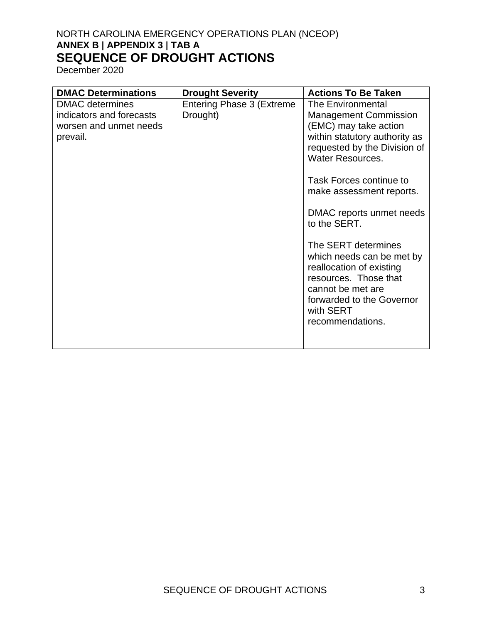| <b>DMAC Determinations</b>                                                               | <b>Drought Severity</b>                      | <b>Actions To Be Taken</b>                                                                                                                                                                                                                                                                                                                                                                                                                                            |
|------------------------------------------------------------------------------------------|----------------------------------------------|-----------------------------------------------------------------------------------------------------------------------------------------------------------------------------------------------------------------------------------------------------------------------------------------------------------------------------------------------------------------------------------------------------------------------------------------------------------------------|
| <b>DMAC</b> determines<br>indicators and forecasts<br>worsen and unmet needs<br>prevail. | <b>Entering Phase 3 (Extreme</b><br>Drought) | The Environmental<br><b>Management Commission</b><br>(EMC) may take action<br>within statutory authority as<br>requested by the Division of<br><b>Water Resources.</b><br>Task Forces continue to<br>make assessment reports.<br>DMAC reports unmet needs<br>to the SERT.<br>The SERT determines<br>which needs can be met by<br>reallocation of existing<br>resources. Those that<br>cannot be met are<br>forwarded to the Governor<br>with SERT<br>recommendations. |
|                                                                                          |                                              |                                                                                                                                                                                                                                                                                                                                                                                                                                                                       |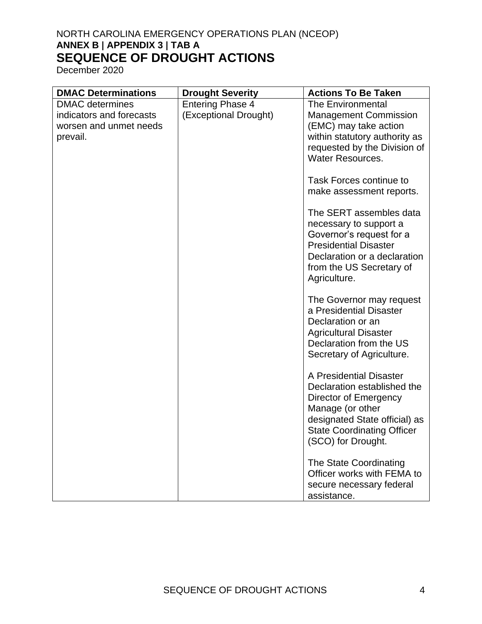| <b>DMAC Determinations</b>                                                               | <b>Drought Severity</b>                          | <b>Actions To Be Taken</b>                                                                                                                                                                      |
|------------------------------------------------------------------------------------------|--------------------------------------------------|-------------------------------------------------------------------------------------------------------------------------------------------------------------------------------------------------|
| <b>DMAC</b> determines<br>indicators and forecasts<br>worsen and unmet needs<br>prevail. | <b>Entering Phase 4</b><br>(Exceptional Drought) | <b>The Environmental</b><br><b>Management Commission</b><br>(EMC) may take action<br>within statutory authority as<br>requested by the Division of<br><b>Water Resources.</b>                   |
|                                                                                          |                                                  | <b>Task Forces continue to</b><br>make assessment reports.                                                                                                                                      |
|                                                                                          |                                                  | The SERT assembles data<br>necessary to support a<br>Governor's request for a<br><b>Presidential Disaster</b><br>Declaration or a declaration<br>from the US Secretary of<br>Agriculture.       |
|                                                                                          |                                                  | The Governor may request<br>a Presidential Disaster<br>Declaration or an<br><b>Agricultural Disaster</b><br>Declaration from the US<br>Secretary of Agriculture.                                |
|                                                                                          |                                                  | A Presidential Disaster<br>Declaration established the<br>Director of Emergency<br>Manage (or other<br>designated State official) as<br><b>State Coordinating Officer</b><br>(SCO) for Drought. |
|                                                                                          |                                                  | The State Coordinating<br>Officer works with FEMA to<br>secure necessary federal<br>assistance.                                                                                                 |